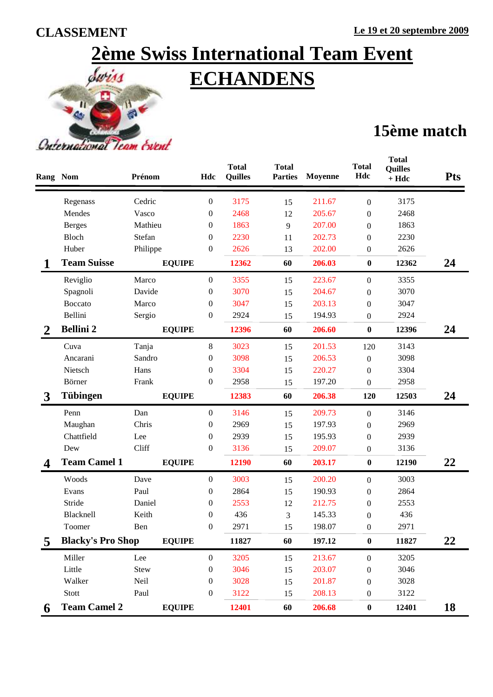## **2ème Swiss International Team Event ECHANDENS**



## **15ème match**

|                  | <b>Rang Nom</b>          | Prénom        | Hdc              | <b>Total</b><br><b>Quilles</b> | <b>Total</b><br><b>Parties</b> | Moyenne | <b>Total</b><br>Hdc | <b>Total</b><br><b>Quilles</b><br>$+ Hdc$ | <b>Pts</b> |
|------------------|--------------------------|---------------|------------------|--------------------------------|--------------------------------|---------|---------------------|-------------------------------------------|------------|
|                  | Regenass                 | Cedric        | $\boldsymbol{0}$ | 3175                           | 15                             | 211.67  | $\boldsymbol{0}$    | 3175                                      |            |
|                  | Mendes                   | Vasco         | 0                | 2468                           | 12                             | 205.67  | $\boldsymbol{0}$    | 2468                                      |            |
|                  | <b>Berges</b>            | Mathieu       | 0                | 1863                           | 9                              | 207.00  | $\boldsymbol{0}$    | 1863                                      |            |
|                  | Bloch                    | Stefan        | 0                | 2230                           | 11                             | 202.73  | $\overline{0}$      | 2230                                      |            |
|                  | Huber                    | Philippe      | $\boldsymbol{0}$ | 2626                           | 13                             | 202.00  | $\boldsymbol{0}$    | 2626                                      |            |
|                  | <b>Team Suisse</b>       | <b>EQUIPE</b> |                  | 12362                          | 60                             | 206.03  | $\bf{0}$            | 12362                                     | 24         |
|                  | Reviglio                 | Marco         | 0                | 3355                           | 15                             | 223.67  | $\boldsymbol{0}$    | 3355                                      |            |
|                  | Spagnoli                 | Davide        | $\boldsymbol{0}$ | 3070                           | 15                             | 204.67  | $\boldsymbol{0}$    | 3070                                      |            |
|                  | <b>Boccato</b>           | Marco         | 0                | 3047                           | 15                             | 203.13  | $\boldsymbol{0}$    | 3047                                      |            |
|                  | Bellini                  | Sergio        | $\boldsymbol{0}$ | 2924                           | 15                             | 194.93  | $\boldsymbol{0}$    | 2924                                      |            |
| $\boldsymbol{2}$ | <b>Bellini 2</b>         | <b>EQUIPE</b> |                  | 12396                          | 60                             | 206.60  | $\bf{0}$            | 12396                                     | 24         |
|                  | Cuva                     | Tanja         | 8                | 3023                           | 15                             | 201.53  | 120                 | 3143                                      |            |
|                  | Ancarani                 | Sandro        | $\boldsymbol{0}$ | 3098                           | 15                             | 206.53  | $\boldsymbol{0}$    | 3098                                      |            |
|                  | Nietsch                  | Hans          | 0                | 3304                           | 15                             | 220.27  | $\boldsymbol{0}$    | 3304                                      |            |
|                  | Börner                   | Frank         | $\boldsymbol{0}$ | 2958                           | 15                             | 197.20  | $\boldsymbol{0}$    | 2958                                      |            |
| 3                | <b>Tübingen</b>          | <b>EQUIPE</b> |                  | 12383                          | 60                             | 206.38  | 120                 | 12503                                     | 24         |
|                  | Penn                     | Dan           | 0                | 3146                           | 15                             | 209.73  | $\boldsymbol{0}$    | 3146                                      |            |
|                  | Maughan                  | Chris         | $\boldsymbol{0}$ | 2969                           | 15                             | 197.93  | $\boldsymbol{0}$    | 2969                                      |            |
|                  | Chattfield               | Lee           | 0                | 2939                           | 15                             | 195.93  | $\theta$            | 2939                                      |            |
|                  | Dew                      | Cliff         | 0                | 3136                           | 15                             | 209.07  | $\boldsymbol{0}$    | 3136                                      |            |
|                  | <b>Team Camel 1</b>      | <b>EQUIPE</b> |                  | 12190                          | 60                             | 203.17  | $\bf{0}$            | 12190                                     | 22         |
|                  | Woods                    | Dave          | $\boldsymbol{0}$ | 3003                           | 15                             | 200.20  | $\boldsymbol{0}$    | 3003                                      |            |
|                  | Evans                    | Paul          | 0                | 2864                           | 15                             | 190.93  | $\boldsymbol{0}$    | 2864                                      |            |
|                  | Stride                   | Daniel        | 0                | 2553                           | 12                             | 212.75  | $\boldsymbol{0}$    | 2553                                      |            |
|                  | Blacknell                | Keith         | 0                | 436                            | 3                              | 145.33  | $\boldsymbol{0}$    | 436                                       |            |
|                  | Toomer                   | Ben           | 0                | 2971                           | 15                             | 198.07  | $\boldsymbol{0}$    | 2971                                      |            |
| 5                | <b>Blacky's Pro Shop</b> | <b>EQUIPE</b> |                  | 11827                          | 60                             | 197.12  | $\boldsymbol{0}$    | 11827                                     | 22         |
|                  | Miller                   | Lee           | $\boldsymbol{0}$ | 3205                           | 15                             | 213.67  | $\boldsymbol{0}$    | 3205                                      |            |
|                  | Little                   | Stew          | 0                | 3046                           | 15                             | 203.07  | 0                   | 3046                                      |            |
|                  | Walker                   | Neil          | 0                | 3028                           | 15                             | 201.87  | 0                   | 3028                                      |            |
|                  | Stott                    | Paul          | 0                | 3122                           | 15                             | 208.13  | 0                   | 3122                                      |            |
| 6                | <b>Team Camel 2</b>      | <b>EQUIPE</b> |                  | 12401                          | 60                             | 206.68  | $\boldsymbol{0}$    | 12401                                     | <b>18</b>  |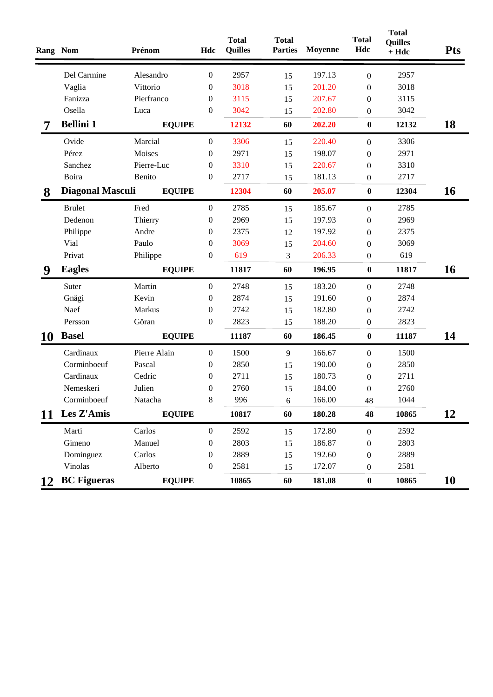|                | Rang Nom                | Prénom        | Hdc              | <b>Total</b><br><b>Quilles</b> | <b>Total</b><br><b>Parties</b> | Moyenne | <b>Total</b><br>Hdc | <b>Total</b><br><b>Quilles</b><br>$+ Hdc$ | <b>Pts</b> |
|----------------|-------------------------|---------------|------------------|--------------------------------|--------------------------------|---------|---------------------|-------------------------------------------|------------|
|                | Del Carmine             | Alesandro     | $\boldsymbol{0}$ | 2957                           | 15                             | 197.13  | $\boldsymbol{0}$    | 2957                                      |            |
|                | Vaglia                  | Vittorio      | $\boldsymbol{0}$ | 3018                           | 15                             | 201.20  | $\boldsymbol{0}$    | 3018                                      |            |
|                | Fanizza                 | Pierfranco    | $\boldsymbol{0}$ | 3115                           | 15                             | 207.67  | $\boldsymbol{0}$    | 3115                                      |            |
|                | Osella                  | Luca          | $\boldsymbol{0}$ | 3042                           | 15                             | 202.80  | $\boldsymbol{0}$    | 3042                                      |            |
| $\overline{7}$ | <b>Bellini 1</b>        | <b>EQUIPE</b> |                  | 12132                          | 60                             | 202.20  | $\boldsymbol{0}$    | 12132                                     | 18         |
|                | Ovide                   | Marcial       | $\boldsymbol{0}$ | 3306                           | 15                             | 220.40  | $\boldsymbol{0}$    | 3306                                      |            |
|                | Pérez                   | Moises        | $\boldsymbol{0}$ | 2971                           | 15                             | 198.07  | $\boldsymbol{0}$    | 2971                                      |            |
|                | Sanchez                 | Pierre-Luc    | $\boldsymbol{0}$ | 3310                           | 15                             | 220.67  | $\boldsymbol{0}$    | 3310                                      |            |
|                | Boira                   | Benito        | $\boldsymbol{0}$ | 2717                           | 15                             | 181.13  | $\boldsymbol{0}$    | 2717                                      |            |
| 8              | <b>Diagonal Masculi</b> | <b>EQUIPE</b> |                  | 12304                          | 60                             | 205.07  | $\bf{0}$            | 12304                                     | 16         |
|                | <b>Brulet</b>           | Fred          | $\boldsymbol{0}$ | 2785                           | 15                             | 185.67  | $\boldsymbol{0}$    | 2785                                      |            |
|                | Dedenon                 | Thierry       | $\boldsymbol{0}$ | 2969                           | 15                             | 197.93  | $\boldsymbol{0}$    | 2969                                      |            |
|                | Philippe                | Andre         | $\boldsymbol{0}$ | 2375                           | 12                             | 197.92  | $\boldsymbol{0}$    | 2375                                      |            |
|                | Vial                    | Paulo         | $\boldsymbol{0}$ | 3069                           | 15                             | 204.60  | $\boldsymbol{0}$    | 3069                                      |            |
|                | Privat                  | Philippe      | $\boldsymbol{0}$ | 619                            | 3                              | 206.33  | $\boldsymbol{0}$    | 619                                       |            |
| 9              | <b>Eagles</b>           | <b>EQUIPE</b> |                  | 11817                          | 60                             | 196.95  | $\bf{0}$            | 11817                                     | <b>16</b>  |
|                | Suter                   | Martin        | $\boldsymbol{0}$ | 2748                           | 15                             | 183.20  | $\boldsymbol{0}$    | 2748                                      |            |
|                | Gnägi                   | Kevin         | $\boldsymbol{0}$ | 2874                           | 15                             | 191.60  | $\boldsymbol{0}$    | 2874                                      |            |
|                | Naef                    | Markus        | $\boldsymbol{0}$ | 2742                           | 15                             | 182.80  | $\boldsymbol{0}$    | 2742                                      |            |
|                | Persson                 | Göran         | $\boldsymbol{0}$ | 2823                           | 15                             | 188.20  | $\boldsymbol{0}$    | 2823                                      |            |
| 10             | <b>Basel</b>            | <b>EQUIPE</b> |                  | 11187                          | 60                             | 186.45  | $\boldsymbol{0}$    | 11187                                     | 14         |
|                | Cardinaux               | Pierre Alain  | $\boldsymbol{0}$ | 1500                           | 9                              | 166.67  | $\boldsymbol{0}$    | 1500                                      |            |
|                | Corminboeuf             | Pascal        | 0                | 2850                           | 15                             | 190.00  | $\boldsymbol{0}$    | 2850                                      |            |
|                | Cardinaux               | Cedric        | 0                | 2711                           | 15                             | 180.73  | $\boldsymbol{0}$    | 2711                                      |            |
|                | Nemeskeri               | Julien        | $\boldsymbol{0}$ | 2760                           | 15                             | 184.00  | $\boldsymbol{0}$    | 2760                                      |            |
|                | Corminboeuf             | Natacha       | 8                | 996                            | 6                              | 166.00  | 48                  | 1044                                      |            |
| 11             | Les Z'Amis              | <b>EQUIPE</b> |                  | 10817                          | 60                             | 180.28  | 48                  | 10865                                     | 12         |
|                | Marti                   | Carlos        | $\boldsymbol{0}$ | 2592                           | 15                             | 172.80  | $\boldsymbol{0}$    | 2592                                      |            |
|                | Gimeno                  | Manuel        | 0                | 2803                           | 15                             | 186.87  | $\boldsymbol{0}$    | 2803                                      |            |
|                | Dominguez               | Carlos        | $\boldsymbol{0}$ | 2889                           | 15                             | 192.60  | $\mathbf{0}$        | 2889                                      |            |
|                | Vinolas                 | Alberto       | $\boldsymbol{0}$ | 2581                           | 15                             | 172.07  | $\boldsymbol{0}$    | 2581                                      |            |
| 12             | <b>BC</b> Figueras      | <b>EQUIPE</b> |                  | 10865                          | 60                             | 181.08  | $\boldsymbol{0}$    | 10865                                     | <b>10</b>  |